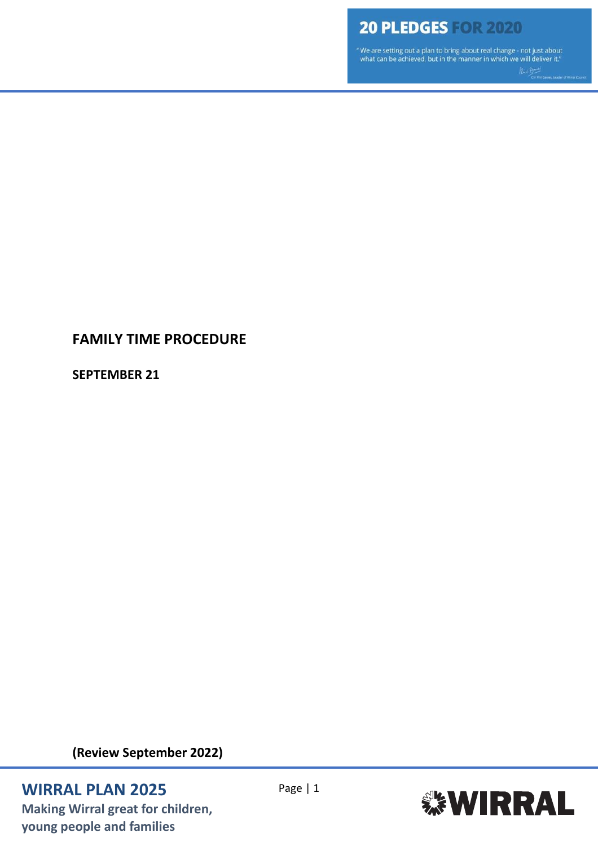"We are setting out a plan to bring about real change - not just about<br>what can be achieved, but in the manner in which we will deliver it."

## **FAMILY TIME PROCEDURE**

**SEPTEMBER 21**

**(Review September 2022)**

## **WIRRAL PLAN 2025** Page | 1

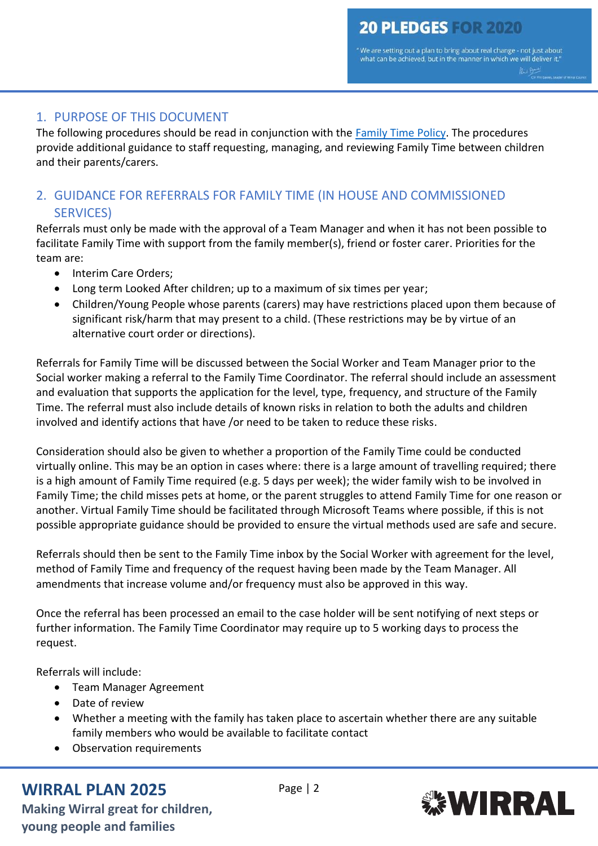"We are setting out a plan to bring about real change - not just about what can be achieved, but in the manner in which we will deliver it.'

### 1. PURPOSE OF THIS DOCUMENT

The following procedures should be read in conjunction with the [Family Time Policy.](https://wirralchildcare.proceduresonline.com/files/fam_time_policy.pdf) The procedures provide additional guidance to staff requesting, managing, and reviewing Family Time between children and their parents/carers.

## 2. GUIDANCE FOR REFERRALS FOR FAMILY TIME (IN HOUSE AND COMMISSIONED SERVICES)

Referrals must only be made with the approval of a Team Manager and when it has not been possible to facilitate Family Time with support from the family member(s), friend or foster carer. Priorities for the team are:

- Interim Care Orders:
- Long term Looked After children; up to a maximum of six times per year;
- Children/Young People whose parents (carers) may have restrictions placed upon them because of significant risk/harm that may present to a child. (These restrictions may be by virtue of an alternative court order or directions).

Referrals for Family Time will be discussed between the Social Worker and Team Manager prior to the Social worker making a referral to the Family Time Coordinator. The referral should include an assessment and evaluation that supports the application for the level, type, frequency, and structure of the Family Time. The referral must also include details of known risks in relation to both the adults and children involved and identify actions that have /or need to be taken to reduce these risks.

Consideration should also be given to whether a proportion of the Family Time could be conducted virtually online. This may be an option in cases where: there is a large amount of travelling required; there is a high amount of Family Time required (e.g. 5 days per week); the wider family wish to be involved in Family Time; the child misses pets at home, or the parent struggles to attend Family Time for one reason or another. Virtual Family Time should be facilitated through Microsoft Teams where possible, if this is not possible appropriate guidance should be provided to ensure the virtual methods used are safe and secure.

Referrals should then be sent to the Family Time inbox by the Social Worker with agreement for the level, method of Family Time and frequency of the request having been made by the Team Manager. All amendments that increase volume and/or frequency must also be approved in this way.

Once the referral has been processed an email to the case holder will be sent notifying of next steps or further information. The Family Time Coordinator may require up to 5 working days to process the request.

Referrals will include:

- Team Manager Agreement
- Date of review
- Whether a meeting with the family has taken place to ascertain whether there are any suitable family members who would be available to facilitate contact
- Observation requirements

## **WIRRAL PLAN 2025** Page | 2

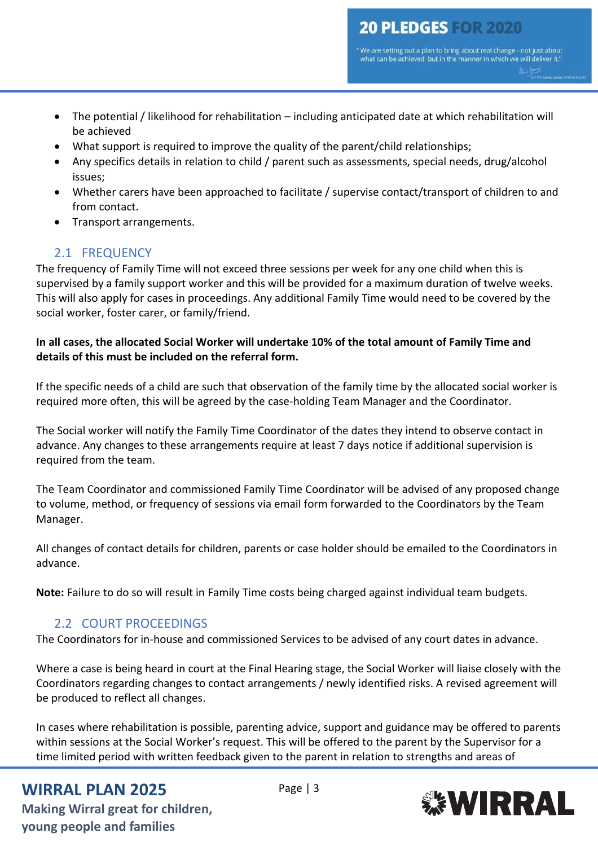'We are setting out a plan to bring about real change - not just about what can be achieved, but in the manner in which we will deliver it."

- The potential / likelihood for rehabilitation including anticipated date at which rehabilitation will be achieved
- What support is required to improve the quality of the parent/child relationships;
- Any specifics details in relation to child / parent such as assessments, special needs, drug/alcohol issues;
- Whether carers have been approached to facilitate / supervise contact/transport of children to and from contact.
- Transport arrangements.

## 2.1 FREQUENCY

The frequency of Family Time will not exceed three sessions per week for any one child when this is supervised by a family support worker and this will be provided for a maximum duration of twelve weeks. This will also apply for cases in proceedings. Any additional Family Time would need to be covered by the social worker, foster carer, or family/friend.

#### **In all cases, the allocated Social Worker will undertake 10% of the total amount of Family Time and details of this must be included on the referral form.**

If the specific needs of a child are such that observation of the family time by the allocated social worker is required more often, this will be agreed by the case-holding Team Manager and the Coordinator.

The Social worker will notify the Family Time Coordinator of the dates they intend to observe contact in advance. Any changes to these arrangements require at least 7 days notice if additional supervision is required from the team.

The Team Coordinator and commissioned Family Time Coordinator will be advised of any proposed change to volume, method, or frequency of sessions via email form forwarded to the Coordinators by the Team Manager.

All changes of contact details for children, parents or case holder should be emailed to the Coordinators in advance.

**Note:** Failure to do so will result in Family Time costs being charged against individual team budgets.

## 2.2 COURT PROCEEDINGS

The Coordinators for in-house and commissioned Services to be advised of any court dates in advance.

Where a case is being heard in court at the Final Hearing stage, the Social Worker will liaise closely with the Coordinators regarding changes to contact arrangements / newly identified risks. A revised agreement will be produced to reflect all changes.

In cases where rehabilitation is possible, parenting advice, support and guidance may be offered to parents within sessions at the Social Worker's request. This will be offered to the parent by the Supervisor for a time limited period with written feedback given to the parent in relation to strengths and areas of

## **WIRRAL PLAN 2025** Page | 3

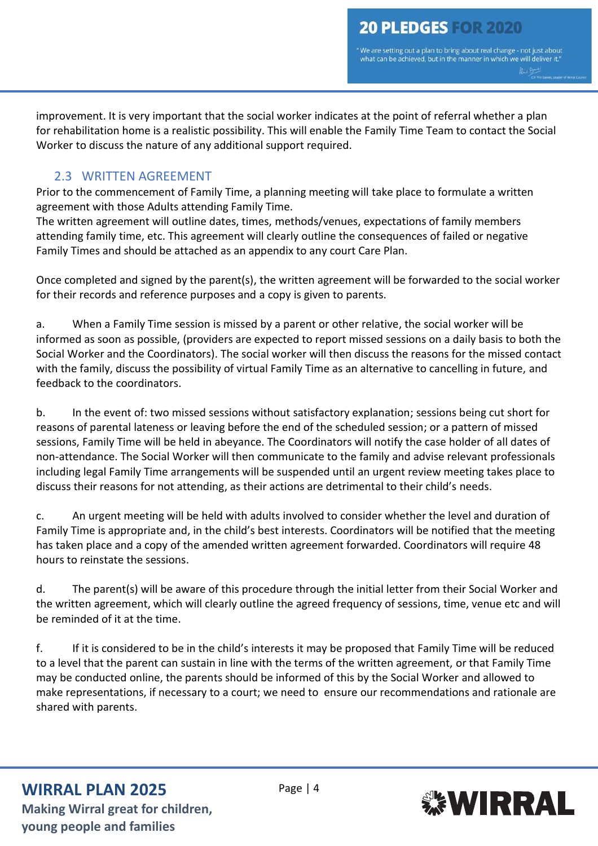'We are setting out a plan to bring about real change - not just about what can be achieved, but in the manner in which we will deliver it.'

improvement. It is very important that the social worker indicates at the point of referral whether a plan for rehabilitation home is a realistic possibility. This will enable the Family Time Team to contact the Social Worker to discuss the nature of any additional support required.

## 2.3 WRITTEN AGREEMENT

Prior to the commencement of Family Time, a planning meeting will take place to formulate a written agreement with those Adults attending Family Time.

The written agreement will outline dates, times, methods/venues, expectations of family members attending family time, etc. This agreement will clearly outline the consequences of failed or negative Family Times and should be attached as an appendix to any court Care Plan.

Once completed and signed by the parent(s), the written agreement will be forwarded to the social worker for their records and reference purposes and a copy is given to parents.

a. When a Family Time session is missed by a parent or other relative, the social worker will be informed as soon as possible, (providers are expected to report missed sessions on a daily basis to both the Social Worker and the Coordinators). The social worker will then discuss the reasons for the missed contact with the family, discuss the possibility of virtual Family Time as an alternative to cancelling in future, and feedback to the coordinators.

b. In the event of: two missed sessions without satisfactory explanation; sessions being cut short for reasons of parental lateness or leaving before the end of the scheduled session; or a pattern of missed sessions, Family Time will be held in abeyance. The Coordinators will notify the case holder of all dates of non-attendance. The Social Worker will then communicate to the family and advise relevant professionals including legal Family Time arrangements will be suspended until an urgent review meeting takes place to discuss their reasons for not attending, as their actions are detrimental to their child's needs.

c. An urgent meeting will be held with adults involved to consider whether the level and duration of Family Time is appropriate and, in the child's best interests. Coordinators will be notified that the meeting has taken place and a copy of the amended written agreement forwarded. Coordinators will require 48 hours to reinstate the sessions.

d. The parent(s) will be aware of this procedure through the initial letter from their Social Worker and the written agreement, which will clearly outline the agreed frequency of sessions, time, venue etc and will be reminded of it at the time.

f. If it is considered to be in the child's interests it may be proposed that Family Time will be reduced to a level that the parent can sustain in line with the terms of the written agreement, or that Family Time may be conducted online, the parents should be informed of this by the Social Worker and allowed to make representations, if necessary to a court; we need to ensure our recommendations and rationale are shared with parents.

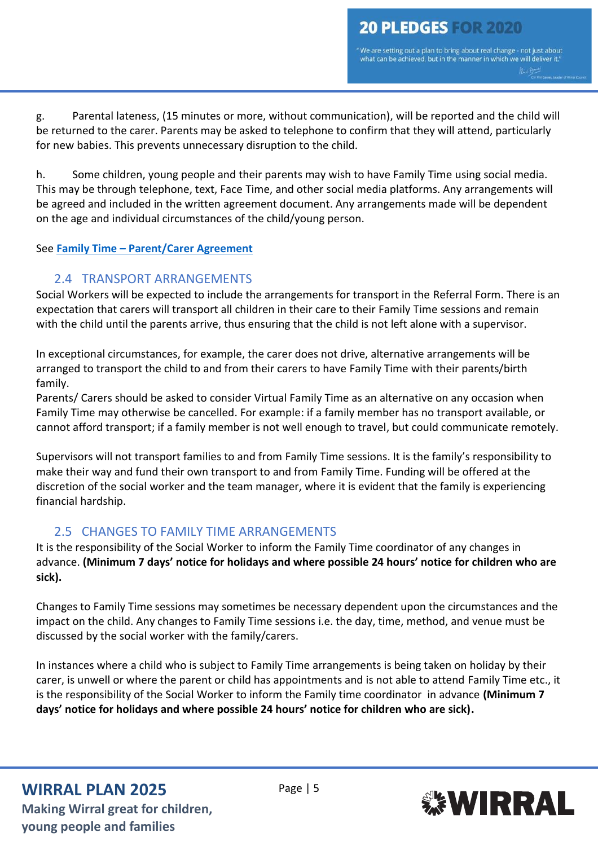"We are setting out a plan to bring about real change - not just about what can be achieved, but in the manner in which we will deliver it.' Mill Boy

g. Parental lateness, (15 minutes or more, without communication), will be reported and the child will be returned to the carer. Parents may be asked to telephone to confirm that they will attend, particularly for new babies. This prevents unnecessary disruption to the child.

h. Some children, young people and their parents may wish to have Family Time using social media. This may be through telephone, text, Face Time, and other social media platforms. Any arrangements will be agreed and included in the written agreement document. Any arrangements made will be dependent on the age and individual circumstances of the child/young person.

#### See **Family Time – [Parent/Carer Agreement](https://wirralchildcare.proceduresonline.com/files/fam_time_pc_agree.docx)**

#### 2.4 TRANSPORT ARRANGEMENTS

Social Workers will be expected to include the arrangements for transport in the Referral Form. There is an expectation that carers will transport all children in their care to their Family Time sessions and remain with the child until the parents arrive, thus ensuring that the child is not left alone with a supervisor.

In exceptional circumstances, for example, the carer does not drive, alternative arrangements will be arranged to transport the child to and from their carers to have Family Time with their parents/birth family.

Parents/ Carers should be asked to consider Virtual Family Time as an alternative on any occasion when Family Time may otherwise be cancelled. For example: if a family member has no transport available, or cannot afford transport; if a family member is not well enough to travel, but could communicate remotely.

Supervisors will not transport families to and from Family Time sessions. It is the family's responsibility to make their way and fund their own transport to and from Family Time. Funding will be offered at the discretion of the social worker and the team manager, where it is evident that the family is experiencing financial hardship.

### 2.5 CHANGES TO FAMILY TIME ARRANGEMENTS

It is the responsibility of the Social Worker to inform the Family Time coordinator of any changes in advance. **(Minimum 7 days' notice for holidays and where possible 24 hours' notice for children who are sick).**

Changes to Family Time sessions may sometimes be necessary dependent upon the circumstances and the impact on the child. Any changes to Family Time sessions i.e. the day, time, method, and venue must be discussed by the social worker with the family/carers.

In instances where a child who is subject to Family Time arrangements is being taken on holiday by their carer, is unwell or where the parent or child has appointments and is not able to attend Family Time etc., it is the responsibility of the Social Worker to inform the Family time coordinator in advance **(Minimum 7 days' notice for holidays and where possible 24 hours' notice for children who are sick).**

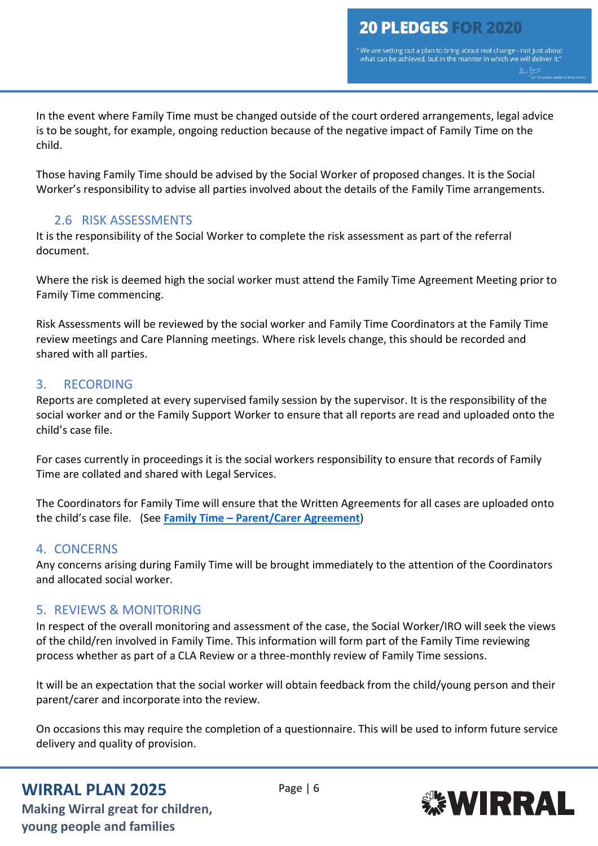"We are setting out a plan to bring about real change - not just about what can be achieved, but in the manner in which we will deliver it.' Mill Boy

In the event where Family Time must be changed outside of the court ordered arrangements, legal advice is to be sought, for example, ongoing reduction because of the negative impact of Family Time on the child.

Those having Family Time should be advised by the Social Worker of proposed changes. It is the Social Worker's responsibility to advise all parties involved about the details of the Family Time arrangements.

### 2.6 RISK ASSESSMENTS

It is the responsibility of the Social Worker to complete the risk assessment as part of the referral document.

Where the risk is deemed high the social worker must attend the Family Time Agreement Meeting prior to Family Time commencing.

Risk Assessments will be reviewed by the social worker and Family Time Coordinators at the Family Time review meetings and Care Planning meetings. Where risk levels change, this should be recorded and shared with all parties.

### 3. RECORDING

Reports are completed at every supervised family session by the supervisor. It is the responsibility of the social worker and or the Family Support Worker to ensure that all reports are read and uploaded onto the child's case file.

For cases currently in proceedings it is the social workers responsibility to ensure that records of Family Time are collated and shared with Legal Services.

The Coordinators for Family Time will ensure that the Written Agreements for all cases are uploaded onto the child's case file. (See **Family Time – [Parent/Carer Agreement](https://wirralchildcare.proceduresonline.com/files/fam_time_pc_agree.docx)**)

### 4. CONCERNS

Any concerns arising during Family Time will be brought immediately to the attention of the Coordinators and allocated social worker.

### 5. REVIEWS & MONITORING

In respect of the overall monitoring and assessment of the case, the Social Worker/IRO will seek the views of the child/ren involved in Family Time. This information will form part of the Family Time reviewing process whether as part of a CLA Review or a three-monthly review of Family Time sessions.

It will be an expectation that the social worker will obtain feedback from the child/young person and their parent/carer and incorporate into the review.

On occasions this may require the completion of a questionnaire. This will be used to inform future service delivery and quality of provision.

## **WIRRAL PLAN 2025** Page | 6